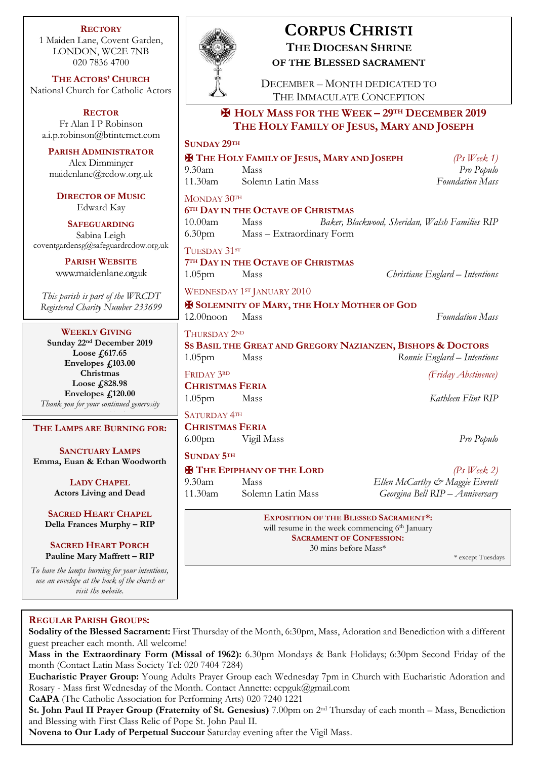**RECTORY** 1 Maiden Lane, Covent Garden, LONDON, WC2E 7NB 020 7836 4700

**THE ACTORS' CHURCH** National Church for Catholic Actors

**RECTOR** Fr Alan I P Robinson [a.i.p.robinson@btinternet.com](mailto:a.i.p.robinson@btinternet.com)

**PARISH ADMINISTRATOR** Alex Dimminger maidenlane@rcdow.org.uk

**DIRECTOR OF MUSIC** Edward Kay

**SAFEGUARDING** Sabina Leigh [coventgardensg@safeguardrcdow.org.uk](mailto:coventgardensg@safeguardrcdow.org.uk)

> **PARISH WEBSITE** [www.maidenlane.org.uk](http://www.maidenlane.org.uk/)

*This parish is part of the WRCDT Registered Charity Number 233699*

# **WEEKLY GIVING**

**Sunday 22nd December 2019 Loose £617.65 Envelopes £103.00 Christmas Loose £828.98 Envelopes £120.00** *Thank you for your continued generosity*

# **THE LAMPS ARE BURNING FOR:** *generous support*

**SANCTUARY LAMPS Emma, Euan & Ethan Woodworth**

> **LADY CHAPEL Actors Living and Dead**

**SACRED HEART CHAPEL Della Frances Murphy – RIP**

**SACRED HEART PORCH Pauline Mary Maffrett – RIP**

*To have the lamps burning for your intentions, use an envelope at the back of the church or visit the website.*



# **CORPUS CHRISTI THE DIOCESAN SHRINE OF THE BLESSED SACRAMENT**

DECEMBER – MONTH DEDICATED TO THE IMMACULATE CONCEPTION

# ✠ **HOLY MASS FOR THE WEEK – 29TH DECEMBER 2019 THE HOLY FAMILY OF JESUS, MARY AND JOSEPH**

| <b>SUNDAY 29TH</b>                                                                                         |                                   |                                                |
|------------------------------------------------------------------------------------------------------------|-----------------------------------|------------------------------------------------|
| <b>X</b> THE HOLY FAMILY OF JESUS, MARY AND JOSEPH<br>$(Ps$ Week 1)                                        |                                   |                                                |
| $9.30$ am                                                                                                  | Mass                              | Pro Populo                                     |
| 11.30am                                                                                                    | Solemn Latin Mass                 | <b>Foundation Mass</b>                         |
| MONDAY 30TH                                                                                                |                                   |                                                |
| <b>6TH DAY IN THE OCTAVE OF CHRISTMAS</b>                                                                  |                                   |                                                |
| 10.00am                                                                                                    | Mass                              | Baker, Blackwood, Sheridan, Walsh Families RIP |
| 6.30 <sub>pm</sub>                                                                                         | Mass - Extraordinary Form         |                                                |
| TUESDAY 31ST                                                                                               |                                   |                                                |
| <b>7TH DAY IN THE OCTAVE OF CHRISTMAS</b>                                                                  |                                   |                                                |
| 1.05 <sub>pm</sub>                                                                                         | Mass                              | Christiane Englard – Intentions                |
|                                                                                                            | WEDNESDAY 1ST JANUARY 2010        |                                                |
| <b>EX SOLEMNITY OF MARY, THE HOLY MOTHER OF GOD</b>                                                        |                                   |                                                |
| $12.00$ noon                                                                                               | Mass                              | <b>Foundation Mass</b>                         |
| THURSDAY 2ND                                                                                               |                                   |                                                |
| SS BASIL THE GREAT AND GREGORY NAZIANZEN, BISHOPS & DOCTORS                                                |                                   |                                                |
| 1.05 <sub>pm</sub>                                                                                         | Mass                              | Ronnie Englard - Intentions                    |
| FRIDAY 3RD                                                                                                 |                                   | (Friday Abstinence)                            |
| <b>CHRISTMAS FERIA</b>                                                                                     |                                   |                                                |
| 1.05 <sub>pm</sub>                                                                                         | Mass                              | Kathleen Flint RIP                             |
| <b>SATURDAY 4TH</b>                                                                                        |                                   |                                                |
| <b>CHRISTMAS FERIA</b>                                                                                     |                                   |                                                |
| 6.00pm Vigil Mass                                                                                          |                                   | Pro Populo                                     |
| <b>SUNDAY 5TH</b>                                                                                          |                                   |                                                |
|                                                                                                            | <b>X</b> THE EPIPHANY OF THE LORD | $(Ps \nWeek 2)$                                |
| $9.30$ am                                                                                                  | Mass                              | Ellen McCarthy & Maggie Everett                |
| $11.30$ am                                                                                                 | Solemn Latin Mass                 | Georgina Bell RIP - Anniversary                |
| <b>EXPOSITION OF THE BLESSED SACRAMENT*:</b><br>will resume in the week commencing 6 <sup>th</sup> January |                                   |                                                |
| <b>SACRAMENT OF CONFESSION:</b>                                                                            |                                   |                                                |

30 mins before Mass\*

\* except Tuesdays

# **REGULAR PARISH GROUPS:**

**Sodality of the Blessed Sacrament:** First Thursday of the Month, 6:30pm, Mass, Adoration and Benediction with a different guest preacher each month. All welcome!

**Mass in the Extraordinary Form (Missal of 1962):** 6.30pm Mondays & Bank Holidays; 6:30pm Second Friday of the month (Contact Latin Mass Society Tel: 020 7404 7284)

**Eucharistic Prayer Group:** Young Adults Prayer Group each Wednesday 7pm in Church with Eucharistic Adoration and Rosary - Mass first Wednesday of the Month. Contact Annette: ccpguk@gmail.com

**CaAPA** (The Catholic Association for Performing Arts) 020 7240 1221

**St. John Paul II Prayer Group (Fraternity of St. Genesius)** 7.00pm on 2nd Thursday of each month – Mass, Benediction and Blessing with First Class Relic of Pope St. John Paul II.

**Novena to Our Lady of Perpetual Succour** Saturday evening after the Vigil Mass.